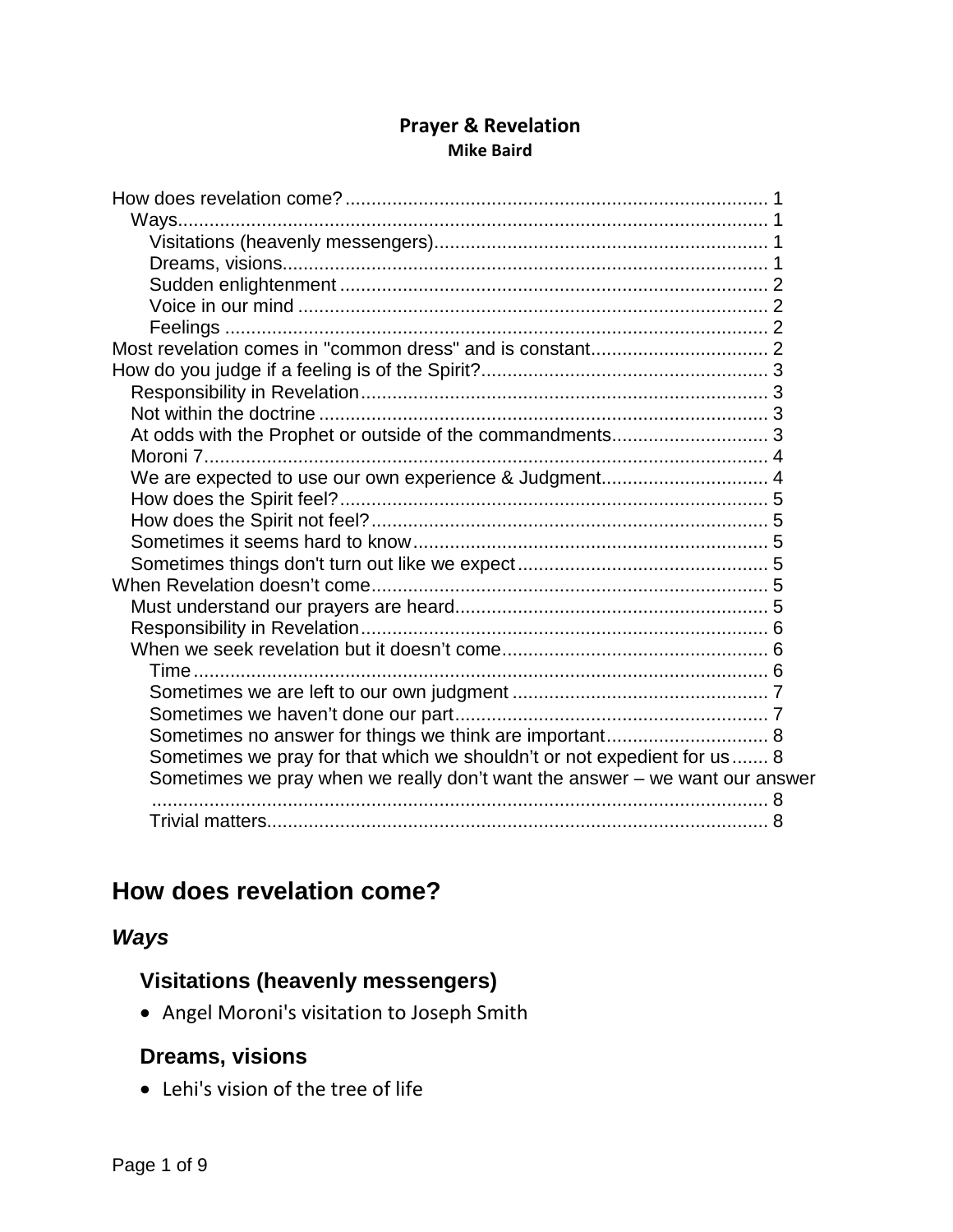#### **Prayer & Revelation Mike Baird**

| We are expected to use our own experience & Judgment 4                      |  |
|-----------------------------------------------------------------------------|--|
|                                                                             |  |
|                                                                             |  |
|                                                                             |  |
|                                                                             |  |
|                                                                             |  |
|                                                                             |  |
|                                                                             |  |
|                                                                             |  |
|                                                                             |  |
|                                                                             |  |
|                                                                             |  |
| Sometimes we pray for that which we shouldn't or not expedient for us 8     |  |
| Sometimes we pray when we really don't want the answer - we want our answer |  |
|                                                                             |  |
|                                                                             |  |
|                                                                             |  |

# <span id="page-0-0"></span>**How does revelation come?**

## <span id="page-0-2"></span><span id="page-0-1"></span>*Ways*

## **Visitations (heavenly messengers)**

• Angel Moroni's visitation to Joseph Smith

## <span id="page-0-3"></span>**Dreams, visions**

• Lehi's vision of the tree of life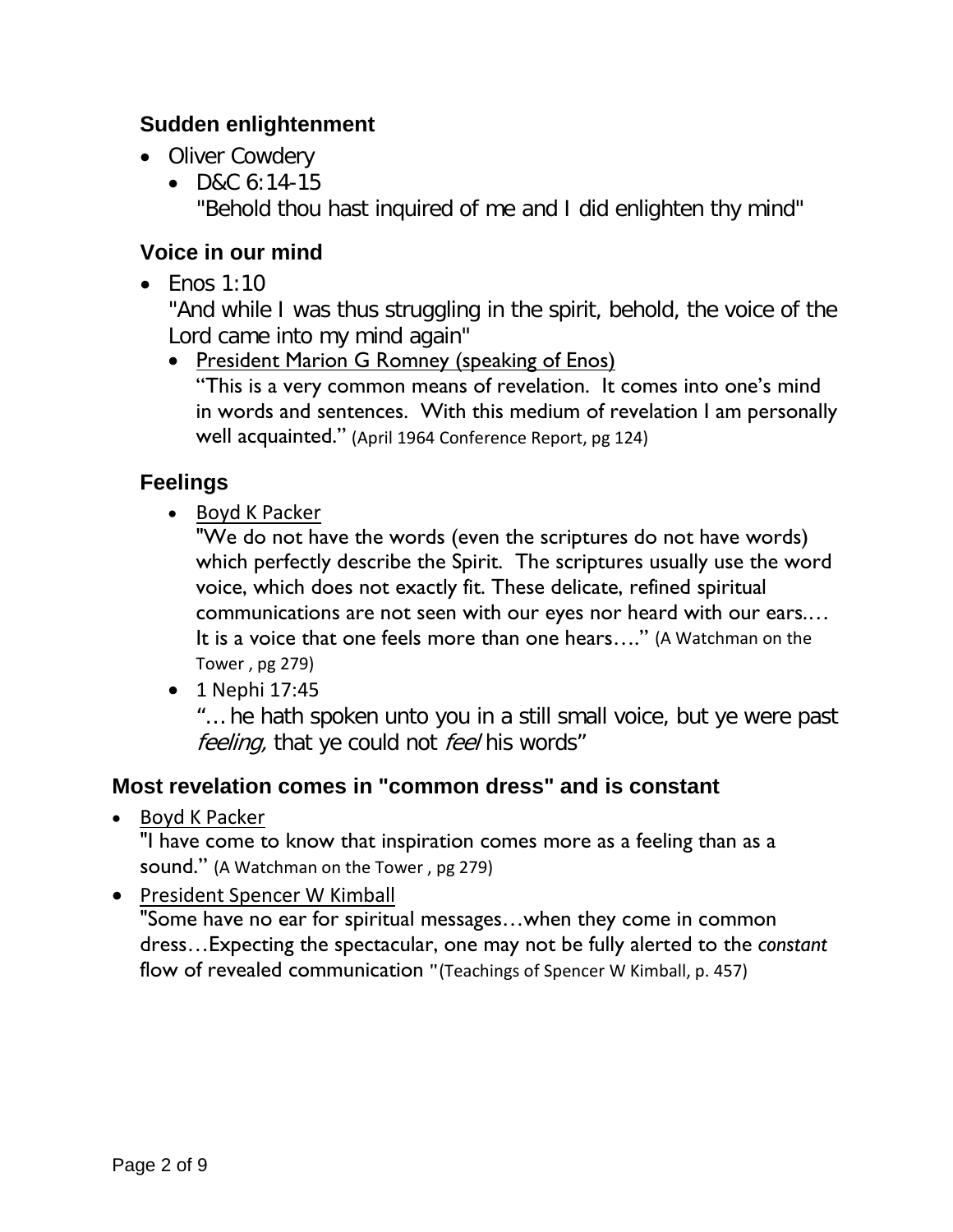## <span id="page-1-0"></span>**Sudden enlightenment**

- Oliver Cowdery
	- D&C 6:14-15 "Behold thou hast inquired of me and I did enlighten thy mind"

## <span id="page-1-1"></span>**Voice in our mind**

• Fnos  $1:10$ 

"And while I was thus struggling in the spirit, behold, the voice of the Lord came into my mind again"

• President Marion G Romney (speaking of Enos) "This is a very common means of revelation. It comes into one's mind in words and sentences. With this medium of revelation I am personally well acquainted." (April 1964 Conference Report, pg 124)

# <span id="page-1-2"></span>**Feelings**

• Boyd K Packer

"We do not have the words (even the scriptures do not have words) which perfectly describe the Spirit. The scriptures usually use the word voice, which does not exactly fit. These delicate, refined spiritual communications are not seen with our eyes nor heard with our ears.… It is a voice that one feels more than one hears…." (A Watchman on the Tower , pg 279)

• 1 Nephi 17:45

"… he hath spoken unto you in a still small voice, but ye were past feeling, that ye could not feel his words"

## <span id="page-1-3"></span>**Most revelation comes in "common dress" and is constant**

• Boyd K Packer

"I have come to know that inspiration comes more as a feeling than as a sound." (A Watchman on the Tower , pg 279)

• President Spencer W Kimball

"Some have no ear for spiritual messages…when they come in common dress…Expecting the spectacular, one may not be fully alerted to the *constant* flow of revealed communication **"**(Teachings of Spencer W Kimball, p. 457)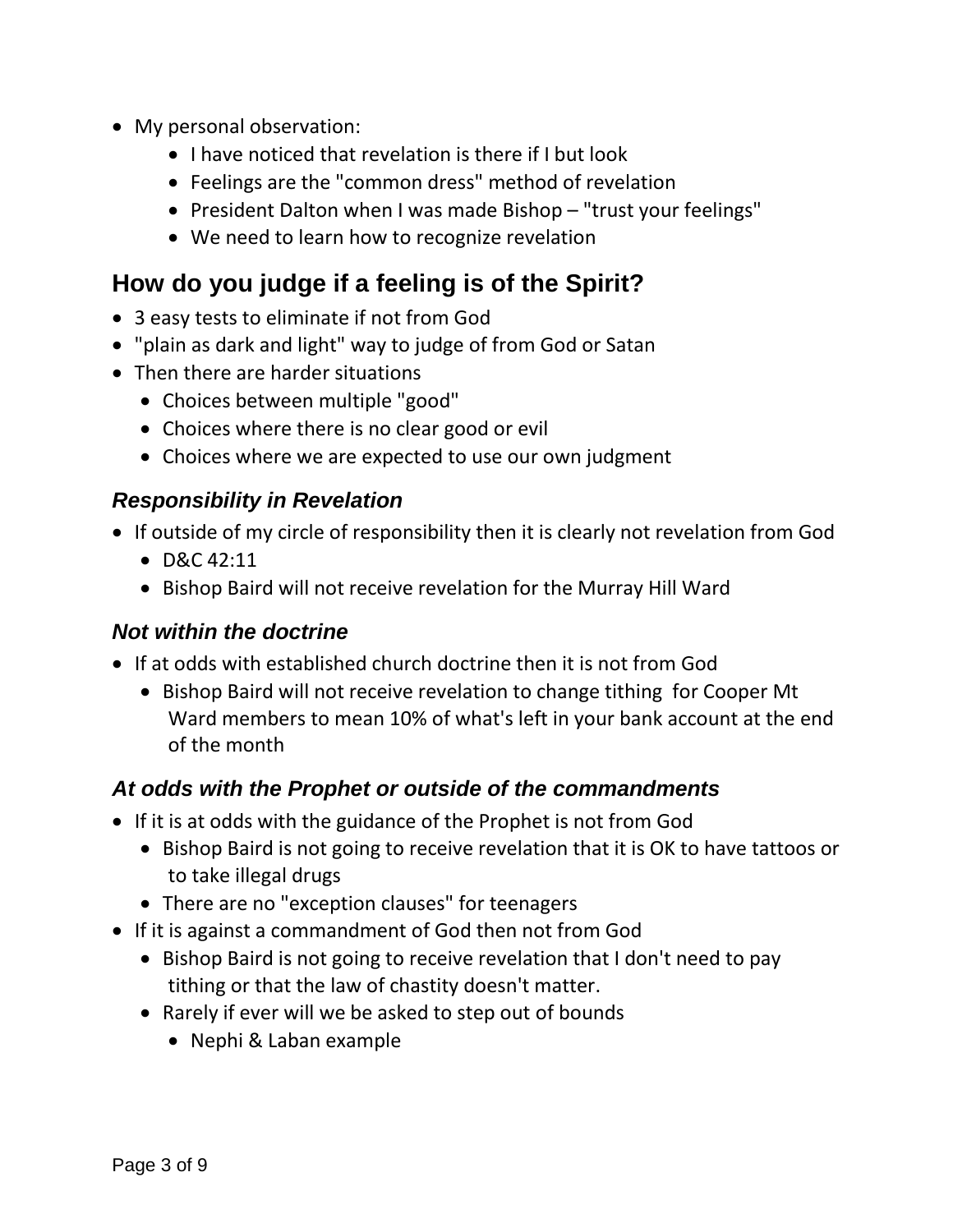- My personal observation:
	- I have noticed that revelation is there if I but look
	- Feelings are the "common dress" method of revelation
	- President Dalton when I was made Bishop "trust your feelings"
	- We need to learn how to recognize revelation

# <span id="page-2-0"></span>**How do you judge if a feeling is of the Spirit?**

- 3 easy tests to eliminate if not from God
- "plain as dark and light" way to judge of from God or Satan
- Then there are harder situations
	- Choices between multiple "good"
	- Choices where there is no clear good or evil
	- Choices where we are expected to use our own judgment

## <span id="page-2-1"></span>*Responsibility in Revelation*

- If outside of my circle of responsibility then it is clearly not revelation from God
	- D&C 42:11
	- Bishop Baird will not receive revelation for the Murray Hill Ward

## <span id="page-2-2"></span>*Not within the doctrine*

- If at odds with established church doctrine then it is not from God
	- Bishop Baird will not receive revelation to change tithing for Cooper Mt Ward members to mean 10% of what's left in your bank account at the end of the month

# <span id="page-2-3"></span>*At odds with the Prophet or outside of the commandments*

- If it is at odds with the guidance of the Prophet is not from God
	- Bishop Baird is not going to receive revelation that it is OK to have tattoos or to take illegal drugs
	- There are no "exception clauses" for teenagers
- If it is against a commandment of God then not from God
	- Bishop Baird is not going to receive revelation that I don't need to pay tithing or that the law of chastity doesn't matter.
	- Rarely if ever will we be asked to step out of bounds
		- Nephi & Laban example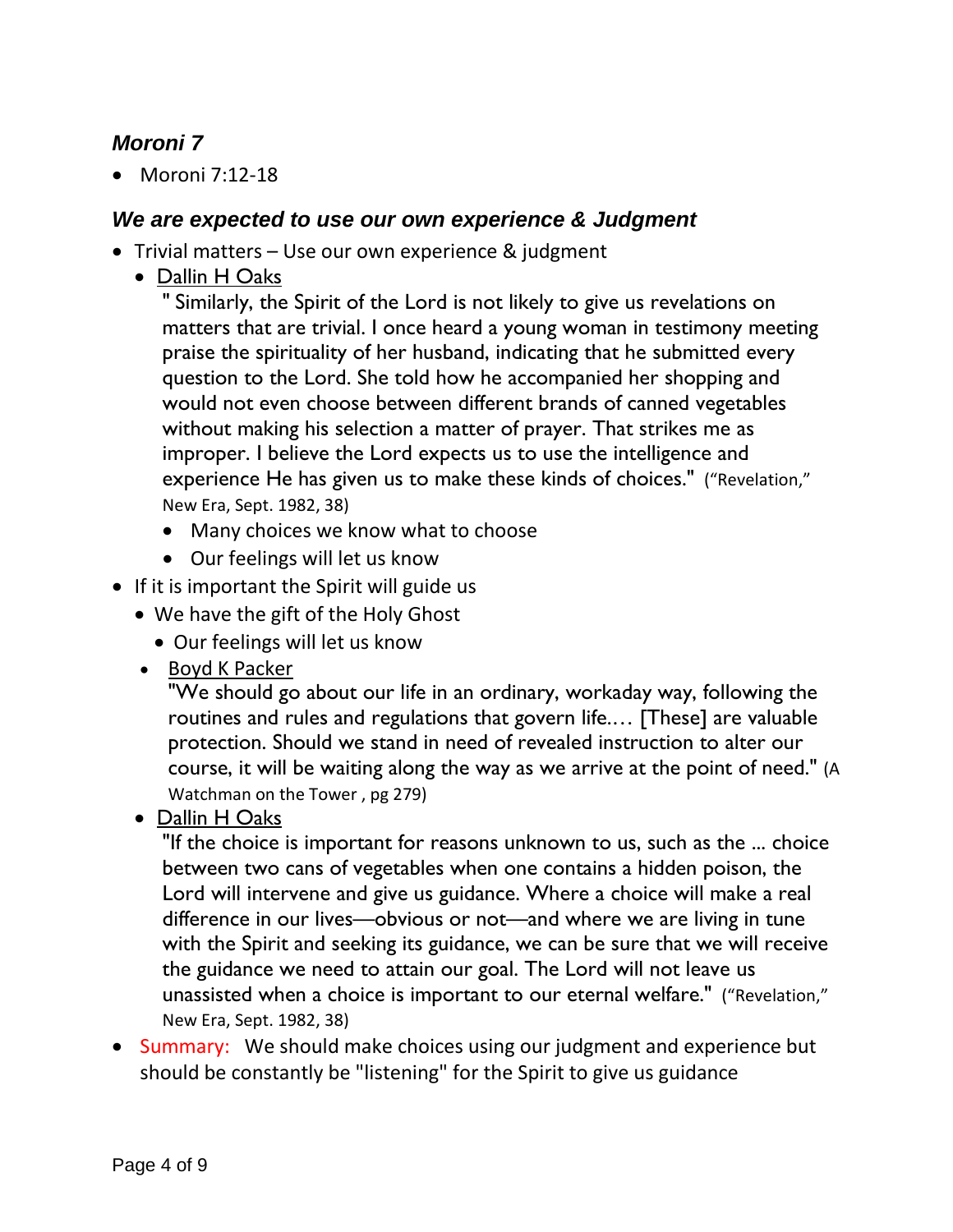## <span id="page-3-0"></span>*Moroni 7*

• Moroni 7:12-18

#### <span id="page-3-1"></span>*We are expected to use our own experience & Judgment*

- Trivial matters Use our own experience & judgment
	- Dallin H Oaks

" Similarly, the Spirit of the Lord is not likely to give us revelations on matters that are trivial. I once heard a young woman in testimony meeting praise the spirituality of her husband, indicating that he submitted every question to the Lord. She told how he accompanied her shopping and would not even choose between different brands of canned vegetables without making his selection a matter of prayer. That strikes me as improper. I believe the Lord expects us to use the intelligence and experience He has given us to make these kinds of choices." ("Revelation," New Era, Sept. 1982, 38)

- Many choices we know what to choose
- Our feelings will let us know
- If it is important the Spirit will guide us
	- We have the gift of the Holy Ghost
		- Our feelings will let us know
	- Boyd K Packer

"We should go about our life in an ordinary, workaday way, following the routines and rules and regulations that govern life.… [These] are valuable protection. Should we stand in need of revealed instruction to alter our course, it will be waiting along the way as we arrive at the point of need." (A Watchman on the Tower , pg 279)

• Dallin H Oaks

"If the choice is important for reasons unknown to us, such as the ... choice between two cans of vegetables when one contains a hidden poison, the Lord will intervene and give us guidance. Where a choice will make a real difference in our lives—obvious or not—and where we are living in tune with the Spirit and seeking its guidance, we can be sure that we will receive the guidance we need to attain our goal. The Lord will not leave us unassisted when a choice is important to our eternal welfare." ("Revelation," New Era, Sept. 1982, 38)

• Summary: We should make choices using our judgment and experience but should be constantly be "listening" for the Spirit to give us guidance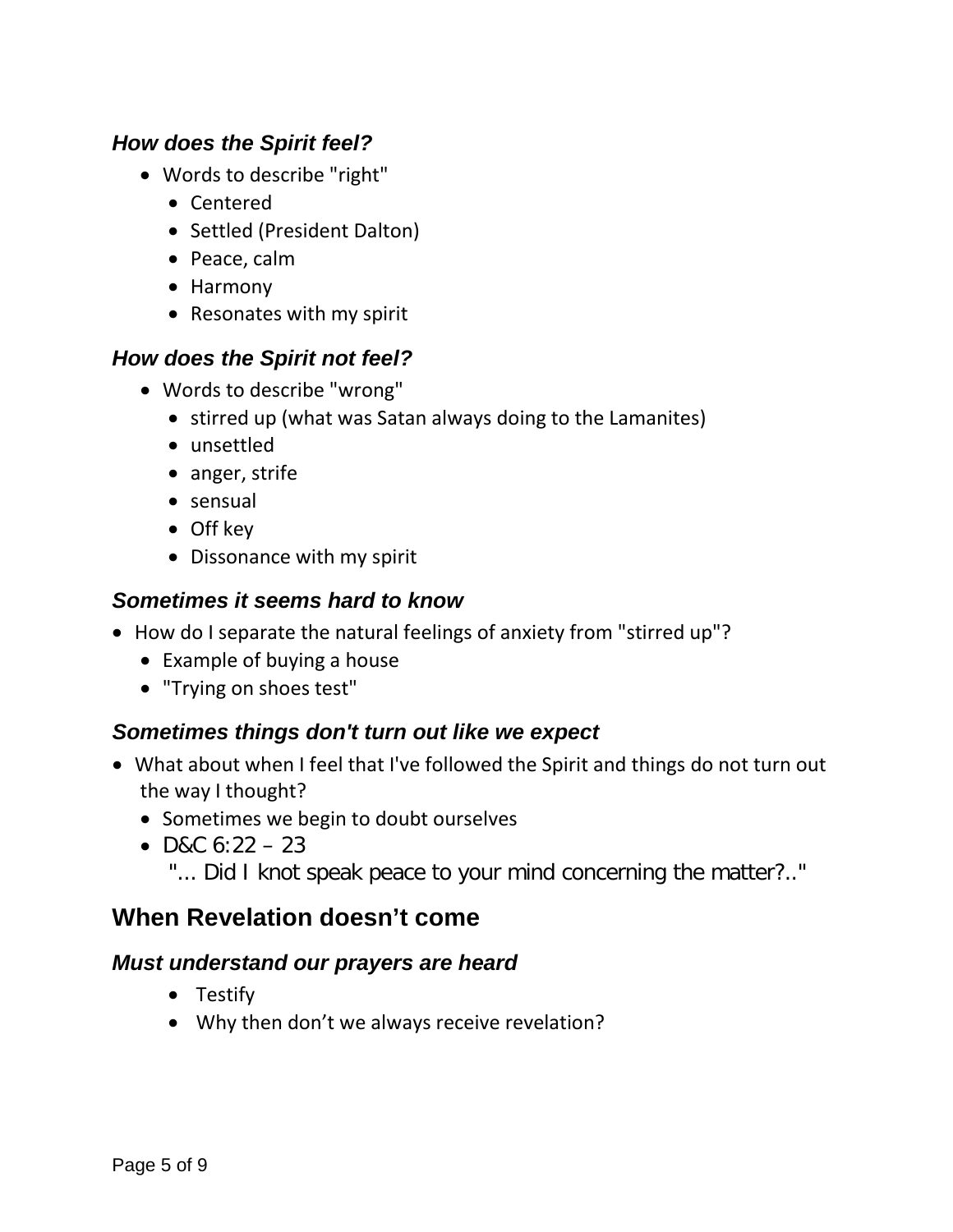#### <span id="page-4-0"></span>*How does the Spirit feel?*

- Words to describe "right"
	- Centered
	- Settled (President Dalton)
	- Peace, calm
	- Harmony
	- Resonates with my spirit

## <span id="page-4-1"></span>*How does the Spirit not feel?*

- Words to describe "wrong"
	- stirred up (what was Satan always doing to the Lamanites)
	- unsettled
	- anger, strife
	- sensual
	- Off key
	- Dissonance with my spirit

#### <span id="page-4-2"></span>*Sometimes it seems hard to know*

- How do I separate the natural feelings of anxiety from "stirred up"?
	- Example of buying a house
	- "Trying on shoes test"

#### <span id="page-4-3"></span>*Sometimes things don't turn out like we expect*

- What about when I feel that I've followed the Spirit and things do not turn out the way I thought?
	- Sometimes we begin to doubt ourselves
	- D&C  $6:22 23$ 
		- "... Did I knot speak peace to your mind concerning the matter?.."

# <span id="page-4-4"></span>**When Revelation doesn't come**

#### <span id="page-4-5"></span>*Must understand our prayers are heard*

- Testify
- Why then don't we always receive revelation?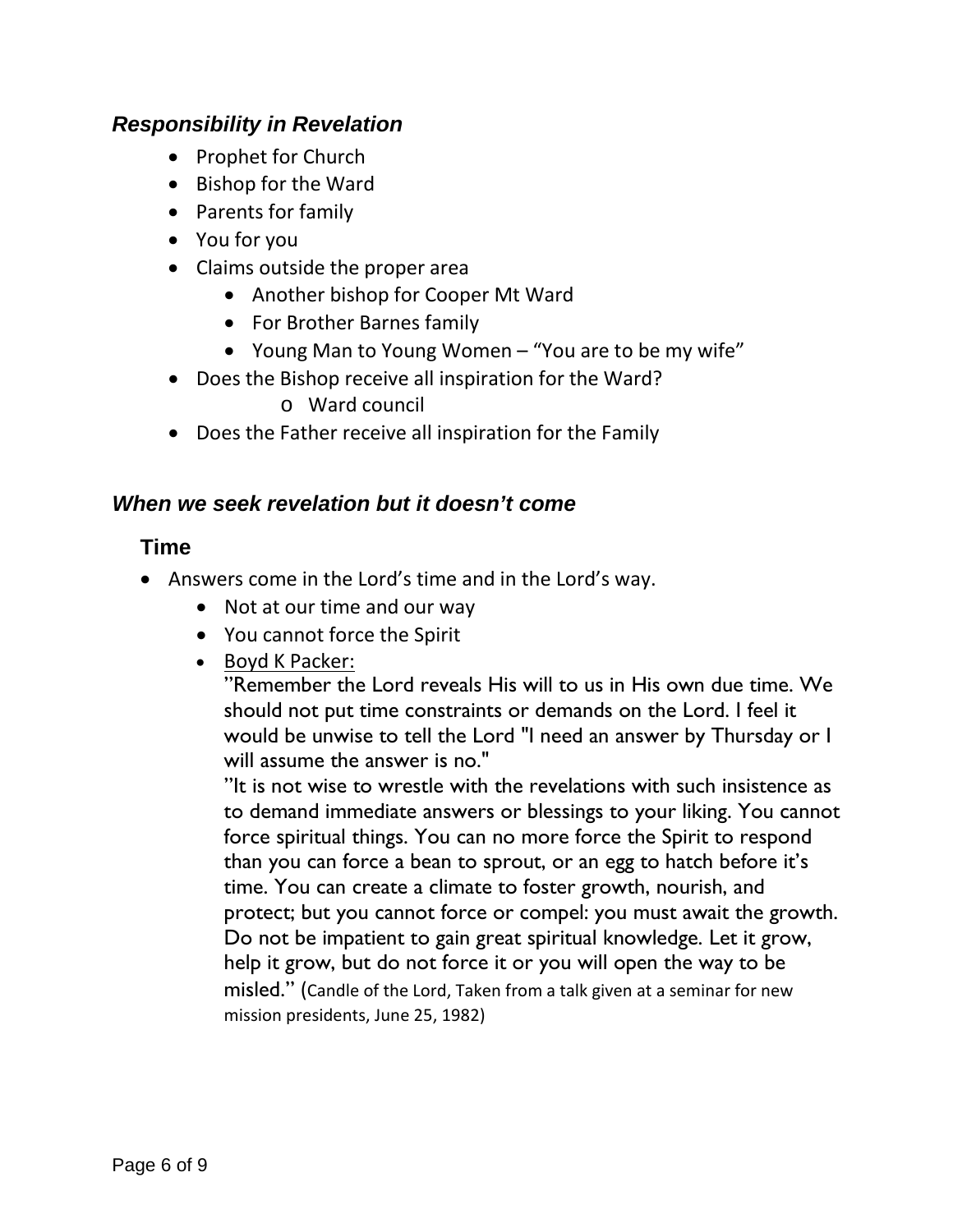#### <span id="page-5-0"></span>*Responsibility in Revelation*

- Prophet for Church
- Bishop for the Ward
- Parents for family
- You for you
- Claims outside the proper area
	- Another bishop for Cooper Mt Ward
	- For Brother Barnes family
	- Young Man to Young Women "You are to be my wife"
- Does the Bishop receive all inspiration for the Ward?

o Ward council

• Does the Father receive all inspiration for the Family

#### <span id="page-5-2"></span><span id="page-5-1"></span>*When we seek revelation but it doesn't come*

#### **Time**

- Answers come in the Lord's time and in the Lord's way.
	- Not at our time and our way
	- You cannot force the Spirit
	- Boyd K Packer:

"Remember the Lord reveals His will to us in His own due time. We should not put time constraints or demands on the Lord. I feel it would be unwise to tell the Lord "I need an answer by Thursday or I will assume the answer is no."

"It is not wise to wrestle with the revelations with such insistence as to demand immediate answers or blessings to your liking. You cannot force spiritual things. You can no more force the Spirit to respond than you can force a bean to sprout, or an egg to hatch before it's time. You can create a climate to foster growth, nourish, and protect; but you cannot force or compel: you must await the growth. Do not be impatient to gain great spiritual knowledge. Let it grow, help it grow, but do not force it or you will open the way to be misled." (Candle of the Lord, Taken from a talk given at a seminar for new mission presidents, June 25, 1982)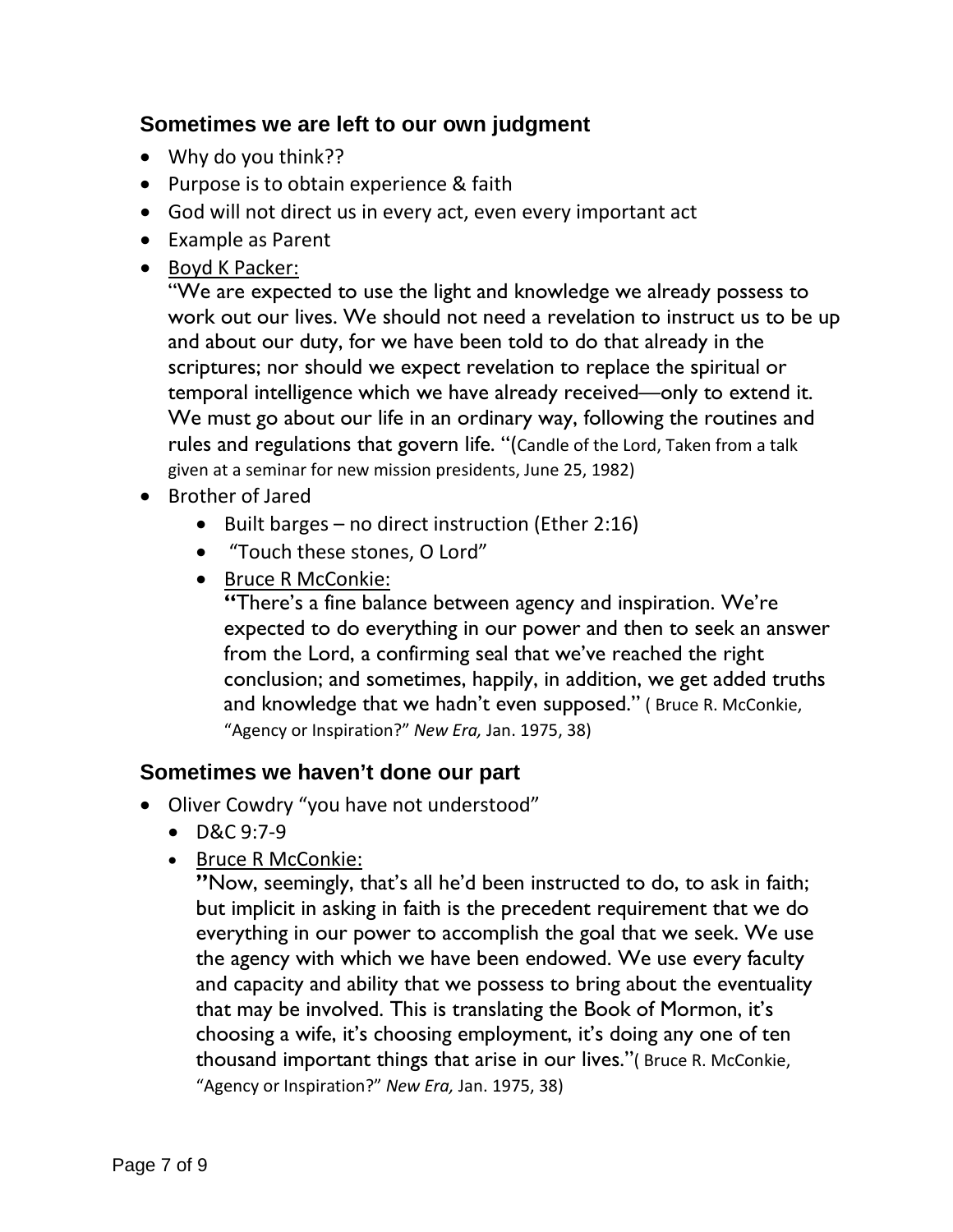#### <span id="page-6-0"></span>**Sometimes we are left to our own judgment**

- Why do you think??
- Purpose is to obtain experience & faith
- God will not direct us in every act, even every important act
- Example as Parent
- Boyd K Packer:

"We are expected to use the light and knowledge we already possess to work out our lives. We should not need a revelation to instruct us to be up and about our duty, for we have been told to do that already in the scriptures; nor should we expect revelation to replace the spiritual or temporal intelligence which we have already received—only to extend it. We must go about our life in an ordinary way, following the routines and rules and regulations that govern life. "(Candle of the Lord, Taken from a talk given at a seminar for new mission presidents, June 25, 1982)

- Brother of Jared
	- Built barges no direct instruction (Ether 2:16)
	- "Touch these stones, O Lord"
	- Bruce R McConkie:

**"**There's a fine balance between agency and inspiration. We're expected to do everything in our power and then to seek an answer from the Lord, a confirming seal that we've reached the right conclusion; and sometimes, happily, in addition, we get added truths and knowledge that we hadn't even supposed." ( Bruce R. McConkie, "Agency or Inspiration?" *New Era,* Jan. 1975, 38)

#### <span id="page-6-1"></span>**Sometimes we haven't done our part**

- Oliver Cowdry "you have not understood"
	- D&C 9:7-9
	- Bruce R McConkie:

**"**Now, seemingly, that's all he'd been instructed to do, to ask in faith; but implicit in asking in faith is the precedent requirement that we do everything in our power to accomplish the goal that we seek. We use the agency with which we have been endowed. We use every faculty and capacity and ability that we possess to bring about the eventuality that may be involved. This is translating the Book of Mormon, it's choosing a wife, it's choosing employment, it's doing any one of ten thousand important things that arise in our lives."( Bruce R. McConkie, "Agency or Inspiration?" *New Era,* Jan. 1975, 38)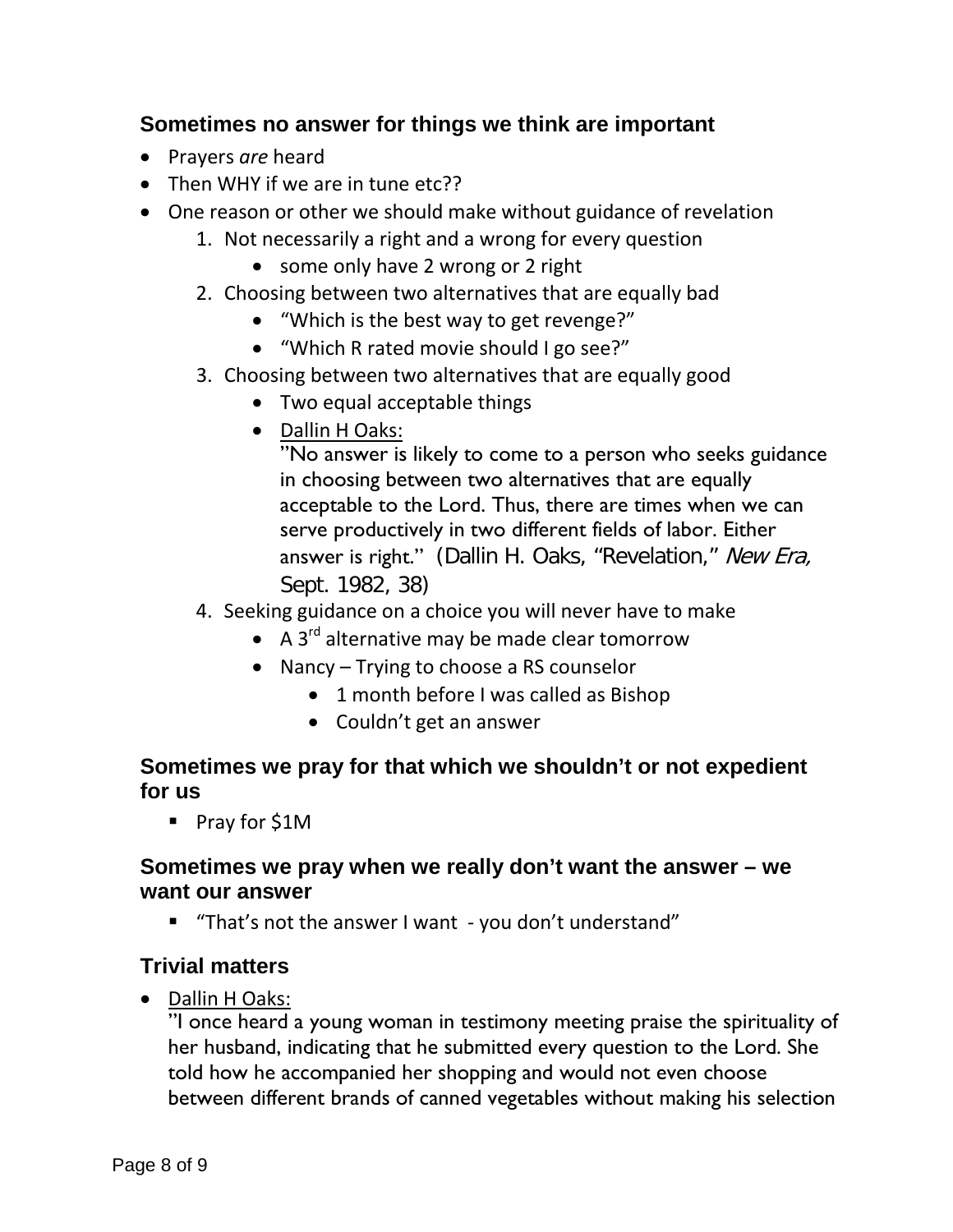#### <span id="page-7-0"></span>**Sometimes no answer for things we think are important**

- Prayers *are* heard
- Then WHY if we are in tune etc??
- One reason or other we should make without guidance of revelation
	- 1. Not necessarily a right and a wrong for every question
		- some only have 2 wrong or 2 right
	- 2. Choosing between two alternatives that are equally bad
		- "Which is the best way to get revenge?"
		- "Which R rated movie should I go see?"
	- 3. Choosing between two alternatives that are equally good
		- Two equal acceptable things
		- Dallin H Oaks:

"No answer is likely to come to a person who seeks guidance in choosing between two alternatives that are equally acceptable to the Lord. Thus, there are times when we can serve productively in two different fields of labor. Either answer is right." (Dallin H. Oaks, "Revelation," New Era, Sept. 1982, 38)

- 4. Seeking guidance on a choice you will never have to make
	- A  $3^{rd}$  alternative may be made clear tomorrow
	- Nancy Trying to choose a RS counselor
		- 1 month before I was called as Bishop
		- Couldn't get an answer

#### <span id="page-7-1"></span>**Sometimes we pray for that which we shouldn't or not expedient for us**

■ Pray for \$1M

## <span id="page-7-2"></span>**Sometimes we pray when we really don't want the answer – we want our answer**

"That's not the answer I want - you don't understand"

#### <span id="page-7-3"></span>**Trivial matters**

• Dallin H Oaks:

"I once heard a young woman in testimony meeting praise the spirituality of her husband, indicating that he submitted every question to the Lord. She told how he accompanied her shopping and would not even choose between different brands of canned vegetables without making his selection